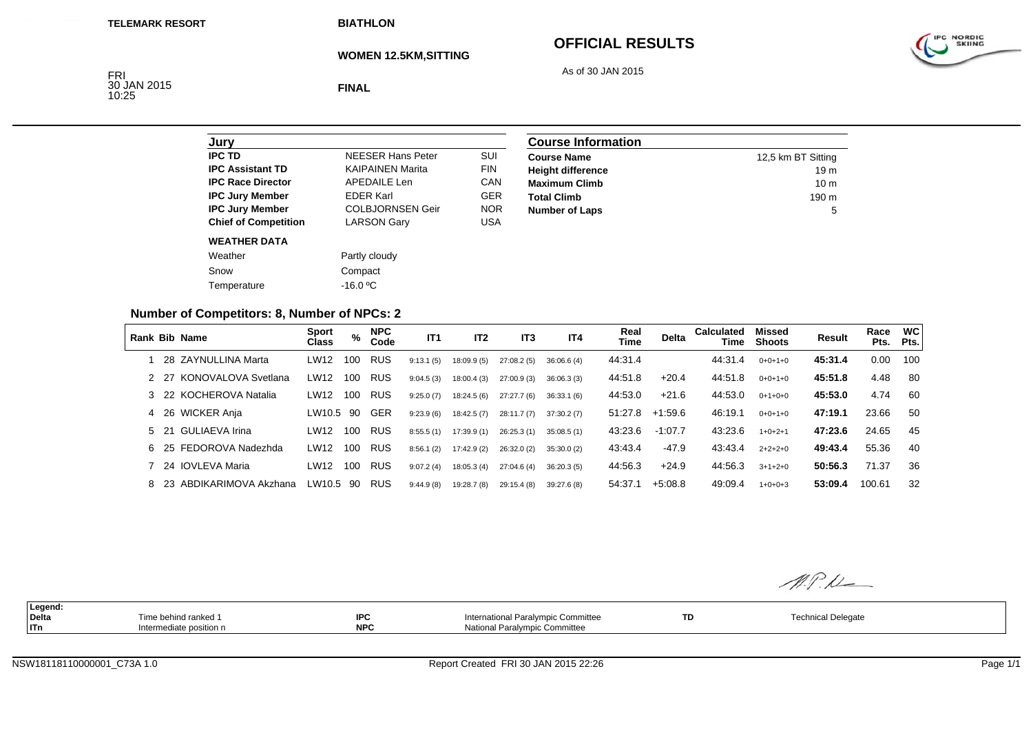**BIATHLON**

**WOMEN 12.5KM,SITTING**

# **OFFICIAL RESULTS**



As of 30 JAN 2015

FRI<br>30 JAN 2015 10:25

**FINAL**

| <b>NFFSFR Hans Peter</b> | SUI        |
|--------------------------|------------|
| <b>KAIPAINEN Marita</b>  | <b>FIN</b> |
| <b>APEDAILE Len</b>      | CAN        |
| <b>FDFR Karl</b>         | <b>GER</b> |
| <b>COLBJORNSEN Geir</b>  | <b>NOR</b> |
| <b>LARSON Gary</b>       | USA        |
|                          |            |
| Partly cloudy            |            |
| Compact                  |            |
| $-16.0 °C$               |            |
|                          |            |

| <b>Course Information</b> |                    |  |  |  |  |
|---------------------------|--------------------|--|--|--|--|
| <b>Course Name</b>        | 12,5 km BT Sitting |  |  |  |  |
| <b>Height difference</b>  | 19 <sub>m</sub>    |  |  |  |  |
| <b>Maximum Climb</b>      | 10 <sub>m</sub>    |  |  |  |  |
| <b>Total Climb</b>        | $190 \text{ m}$    |  |  |  |  |
| <b>Number of Laps</b>     | 5                  |  |  |  |  |

#### **Number of Competitors: 8, Number of NPCs: 2**

|      | Rank Bib Name             | <b>Sport</b><br><b>Class</b> | $\%$ | <b>NPC</b><br>Code | IT1       | IT <sub>2</sub> | IT <sub>3</sub> | IT <sub>4</sub> | Real<br>Time | <b>Delta</b> | <b>Calculated</b><br>Time | Missed<br><b>Shoots</b> | <b>Result</b> | Race<br>Pts. | <b>WC</b><br>Pts. |
|------|---------------------------|------------------------------|------|--------------------|-----------|-----------------|-----------------|-----------------|--------------|--------------|---------------------------|-------------------------|---------------|--------------|-------------------|
|      | 28 ZAYNULLINA Marta       | LW12                         | 100  | <b>RUS</b>         | 9:13.1(5) | 18:09.9(5)      | 27:08.2(5)      | 36:06.6(4)      | 44:31.4      |              | 44:31.4                   | $0+0+1+0$               | 45:31.4       | 0.00         | 100               |
|      | 2 27 KONOVALOVA Svetlana  | LW12                         | 100  | <b>RUS</b>         | 9:04.5(3) | 18:00.4(3)      | 27:00.9(3)      | 36:06.3(3)      | 44:51.8      | $+20.4$      | 44:51.8                   | $0+0+1+0$               | 45:51.8       | 4.48         | -80               |
|      | 3 22 KOCHEROVA Natalia    | LW12                         | 100  | <b>RUS</b>         | 9:25.0(7) | 18:24.5(6)      | 27:27.7 (6)     | 36:33.1(6)      | 44:53.0      | $+21.6$      | 44:53.0                   | $0+1+0+0$               | 45:53.0       | 4.74         | 60                |
|      | 4 26 WICKER Anja          | LW10.5 90                    |      | <b>GER</b>         | 9:23.9(6) | 18:42.5(7)      | 28:11.7(7)      | 37:30.2(7)      | 51:27.8      | $+1.59.6$    | 46:19.1                   | $0+0+1+0$               | 47:19.1       | 23.66        | 50                |
| 5 21 | GULIAEVA Irina            | LW12                         | 100  | <b>RUS</b>         | 8:55.5(1) | 17:39.9 (1)     | 26:25.3(1)      | 35:08.5(1)      | 43:23.6      | $-1:07.7$    | 43:23.6                   | $1+0+2+1$               | 47:23.6       | 24.65        | 45                |
|      | 6 25 FEDOROVA Nadezhda    | LW12                         | 100  | <b>RUS</b>         | 8:56.1(2) | 17:42.9(2)      | 26:32.0(2)      | 35:30.0(2)      | 43:43.4      | $-47.9$      | 43:43.4                   | $2+2+2+0$               | 49:43.4       | 55.36        | 40                |
|      | 7 24 IOVLEVA Maria        | LW12                         | 100  | RUS                | 9:07.2(4) | 18:05.3(4)      | 27:04.6(4)      | 36:20.3(5)      | 44:56.3      | $+24.9$      | 44:56.3                   | $3+1+2+0$               | 50:56.3       | 71.37        | 36                |
|      | 8 23 ABDIKARIMOVA Akzhana | LW10.5 90                    |      | RUS                | 9:44.9(8) | 19:28.7 (8)     | 29:15.4 (8)     | 39:27.6 (8)     | 54:37.1      | $+5:08.8$    | 49:09.4                   | $1+0+0+3$               | 53:09.4       | 100.61       | 32                |

**Legend: Delta** Time behind ranked 1 **IPCIPC International Paralympic Committee <b>TD TD** Technical Delegate<br> **NPC** National Paralympic Committee **TR** TR TECHNICAL TECHNICAL Delegate **ITnIntermediate position n NPC** National Paralympic Committee

M.P.L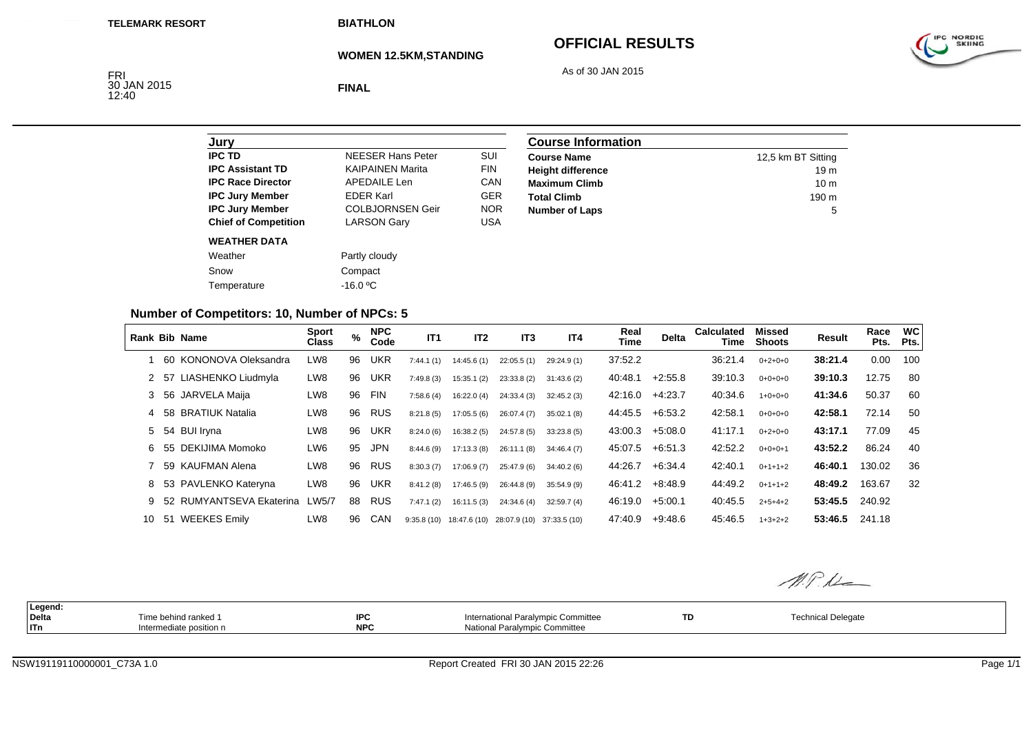**BIATHLON**

**WOMEN 12.5KM,STANDING**

# **OFFICIAL RESULTS**

As of 30 JAN 2015

IPC NORDIC

FRI<br>30 JAN 2015<br>12:40

**FINAL**

| Jurv                        |                          |            |
|-----------------------------|--------------------------|------------|
| IPC TD                      | <b>NEESER Hans Peter</b> | SUI        |
| <b>IPC Assistant TD</b>     | <b>KAIPAINEN Marita</b>  | <b>FIN</b> |
| <b>IPC Race Director</b>    | <b>APEDAILE Len</b>      | CAN        |
| <b>IPC Jury Member</b>      | <b>EDER Karl</b>         | <b>GER</b> |
| <b>IPC Jury Member</b>      | <b>COLBJORNSEN Geir</b>  | <b>NOR</b> |
| <b>Chief of Competition</b> | <b>LARSON Gary</b>       | <b>USA</b> |
| <b>WEATHER DATA</b>         |                          |            |
| Weather                     | Partly cloudy            |            |
| Snow                        | Compact                  |            |
| Temperature                 | $-16.0$ °C               |            |
|                             |                          |            |

| <b>Course Information</b> |                    |  |  |  |  |
|---------------------------|--------------------|--|--|--|--|
| <b>Course Name</b>        | 12,5 km BT Sitting |  |  |  |  |
| <b>Height difference</b>  | 19 <sub>m</sub>    |  |  |  |  |
| <b>Maximum Climb</b>      | 10 <sub>m</sub>    |  |  |  |  |
| <b>Total Climb</b>        | 190 <sub>m</sub>   |  |  |  |  |
| <b>Number of Laps</b>     | 5                  |  |  |  |  |

### **Number of Competitors: 10, Number of NPCs: 5**

|    |      | <b>Rank Bib Name</b>     | <b>Sport</b><br>Class | %  | <b>NPC</b><br>Code | IT <sub>1</sub> | IT <sub>2</sub>           | IT <sub>3</sub>           | IT <sub>4</sub> | Real<br>Time | Delta     | <b>Calculated</b><br>Time | Missed<br><b>Shoots</b> | Result  | Race<br>Pts. | <b>WC</b><br>Pts. |
|----|------|--------------------------|-----------------------|----|--------------------|-----------------|---------------------------|---------------------------|-----------------|--------------|-----------|---------------------------|-------------------------|---------|--------------|-------------------|
|    |      | 60 KONONOVA Oleksandra   | LW8                   | 96 | <b>UKR</b>         | 7:44.1(1)       | 14:45.6(1)                | 22:05.5(1)                | 29:24.9 (1)     | 37:52.2      |           | 36:21.4                   | $0+2+0+0$               | 38:21.4 | 0.00         | 100               |
|    | 2 57 | LIASHENKO Liudmyla       | LW8                   | 96 | <b>UKR</b>         | 7:49.8(3)       | 15:35.1(2)                | 23:33.8(2)                | 31:43.6(2)      | 40:48.1      | $+2:55.8$ | 39:10.3                   | $0+0+0+0$               | 39:10.3 | 12.75        | 80                |
| 3  |      | 56 JARVELA Maija         | LW8                   | 96 | <b>FIN</b>         | 7:58.6(4)       | 16:22.0(4)                | 24:33.4 (3)               | 32:45.2(3)      | 42:16.0      | $+4:23.7$ | 40:34.6                   | $1+0+0+0$               | 41:34.6 | 50.37        | 60                |
|    |      | 58 BRATIUK Natalia       | LW8                   | 96 | <b>RUS</b>         | 8:21.8(5)       | 17:05.5(6)                | 26:07.4(7)                | 35:02.1(8)      | 44:45.5      | $+6:53.2$ | 42:58.1                   | $0+0+0+0$               | 42:58.1 | 72.14        | 50                |
|    |      | 5 54 BUI Iryna           | LW8                   | 96 | <b>UKR</b>         | 8:24.0(6)       | 16:38.2(5)                | 24:57.8 (5)               | 33:23.8(5)      | 43:00.3      | $+5:08.0$ | 41:17.1                   | $0+2+0+0$               | 43:17.1 | 77.09        | 45                |
| 6. |      | 55 DEKIJIMA Momoko       | LW6                   | 95 | <b>JPN</b>         | 8:44.6(9)       | 17:13.3(8)                | 26:11.1(8)                | 34:46.4(7)      | 45:07.5      | $+6.51.3$ | 42:52.2                   | $0+0+0+1$               | 43:52.2 | 86.24        | 40                |
|    |      | 59 KAUFMAN Alena         | LW8                   | 96 | <b>RUS</b>         | 8:30.3(7)       | 17:06.9 (7)               | 25:47.9 (6)               | 34:40.2(6)      | 44:26.7      | $+6.34.4$ | 42:40.1                   | $0+1+1+2$               | 46:40.1 | 130.02       | 36                |
| 8  |      | 53 PAVLENKO Kateryna     | LW8                   | 96 | <b>UKR</b>         | 8:41.2(8)       | 17:46.5(9)                | 26:44.8 (9)               | 35:54.9(9)      | 46:41.2      | $+8:48.9$ | 44:49.2                   | $0+1+1+2$               | 48:49.2 | 163.67       | 32                |
| 9  |      | 52 RUMYANTSEVA Ekaterina | LW5/7                 | 88 | <b>RUS</b>         | 7:47.1(2)       | 16:11.5 (3)               | 24:34.6 (4)               | 32:59.7(4)      | 46:19.0      | $+5:00.1$ | 40:45.5                   | $2+5+4+2$               | 53:45.5 | 240.92       |                   |
| 10 | 51   | <b>WEEKES Emily</b>      | LW8                   | 96 | <b>CAN</b>         |                 | $9:35.8(10)$ 18:47.6 (10) | 28:07.9 (10) 37:33.5 (10) |                 | 47:40.9      | $+9:48.6$ | 45:46.5                   | $1+3+2+2$               | 53:46.5 | 241.18       |                   |

M.P.L

| Legend<br>Delta | Time behind ranked 1    | <b>IPC</b> | International Paralympic Committee | TD | Technical Delegate |
|-----------------|-------------------------|------------|------------------------------------|----|--------------------|
| $ $ ITn         | Intermediate position n | <b>NPC</b> | National Paralympic Committee      |    |                    |
|                 |                         |            |                                    |    |                    |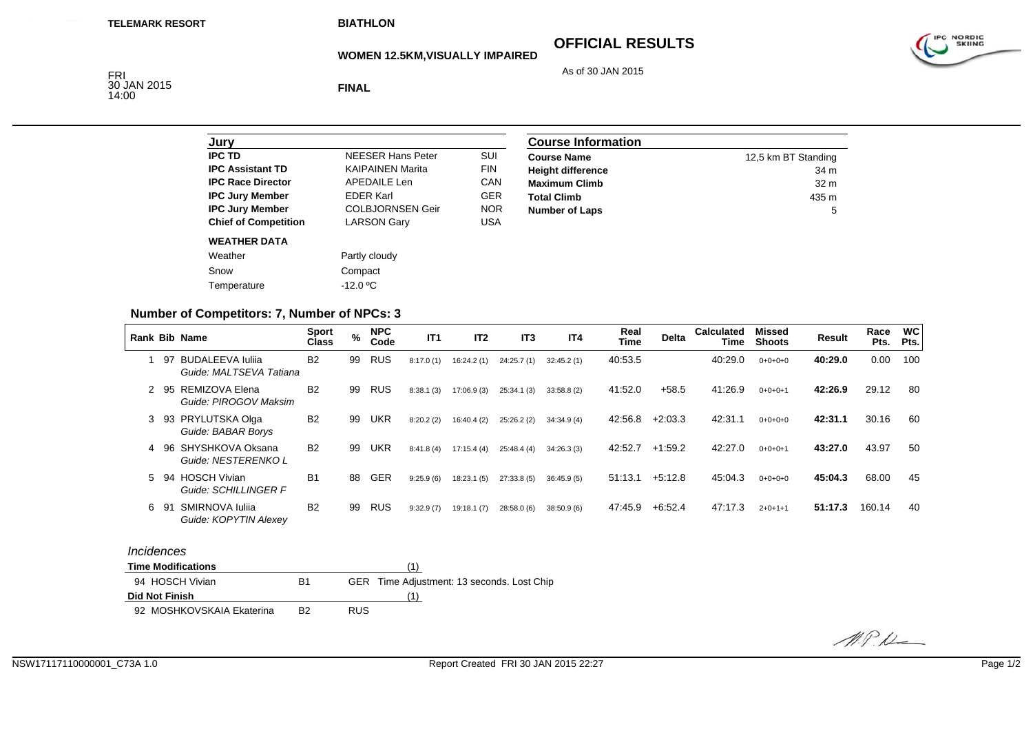# **OFFICIAL RESULTS**

As of 30 JAN 2015

IPC NORDIC

#### **WOMEN 12.5KM,VISUALLY IMPAIRED**

FRI 30 JAN 2015 14:00

**FINAL**

| SUI        |
|------------|
|            |
|            |
| <b>FIN</b> |
| CAN        |
| <b>GER</b> |
| <b>NOR</b> |
| USA        |
|            |
|            |
|            |
|            |
|            |

| <b>Course Information</b> |                     |  |  |  |  |
|---------------------------|---------------------|--|--|--|--|
| <b>Course Name</b>        | 12,5 km BT Standing |  |  |  |  |
| <b>Height difference</b>  | 34 m                |  |  |  |  |
| <b>Maximum Climb</b>      | 32 <sub>m</sub>     |  |  |  |  |
| <b>Total Climb</b>        | 435 m               |  |  |  |  |
| <b>Number of Laps</b>     | 5                   |  |  |  |  |

### **Number of Competitors: 7, Number of NPCs: 3**

|   |     | <b>Rank Bib Name</b>                               | <b>Sport</b><br>Class | $\%$ | <b>NPC</b><br>Code | IT1       | IT <sub>2</sub> | IT <sub>3</sub> | IT <sub>4</sub> | Real<br>Time | <b>Delta</b> | <b>Calculated</b><br>Time | Missed<br><b>Shoots</b> | <b>Result</b> | Race<br>Pts. | <b>WC</b><br>Pts. |
|---|-----|----------------------------------------------------|-----------------------|------|--------------------|-----------|-----------------|-----------------|-----------------|--------------|--------------|---------------------------|-------------------------|---------------|--------------|-------------------|
|   | 97  | <b>BUDALEEVA Iulija</b><br>Guide: MALTSEVA Tatiana | <b>B2</b>             | 99   | RUS                | 8:17.0(1) | 16:24.2 (1)     | 24:25.7 (1)     | 32:45.2(1)      | 40:53.5      |              | 40:29.0                   | $0+0+0+0$               | 40:29.0       | 0.00         | 100               |
|   | 95  | REMIZOVA Elena<br>Guide: PIROGOV Maksim            | <b>B2</b>             | 99   | RUS                | 8:38.1(3) | 17:06.9(3)      | 25:34.1(3)      | 33:58.8(2)      | 41:52.0      | $+58.5$      | 41:26.9                   | $0+0+0+1$               | 42:26.9       | 29.12        | 80                |
| 3 | 93  | PRYLUTSKA Olga<br>Guide: BABAR Borys               | B <sub>2</sub>        | 99   | <b>UKR</b>         | 8:20.2(2) | 16:40.4(2)      | 25:26.2(2)      | 34:34.9(4)      | 42:56.8      | $+2:03.3$    | 42:31.1                   | $0+0+0+0$               | 42:31.1       | 30.16        | 60                |
| 4 | 96  | SHYSHKOVA Oksana<br>Guide: NESTERENKO L            | <b>B2</b>             | 99   | <b>UKR</b>         | 8:41.8(4) | 17:15.4(4)      | 25:48.4 (4)     | 34:26.3(3)      | 42:52.7      | $+1:59.2$    | 42:27.0                   | $0+0+0+1$               | 43:27.0       | 43.97        | 50                |
| 5 | -94 | <b>HOSCH Vivian</b><br>Guide: SCHILLINGER F        | <b>B1</b>             | 88   | GER                | 9:25.9(6) | 18:23.1(5)      | 27:33.8 (5)     | 36:45.9(5)      | 51:13.1      | $+5:12.8$    | 45:04.3                   | $0+0+0+0$               | 45:04.3       | 68.00        | 45                |
| 6 | -91 | SMIRNOVA Iulija<br>Guide: KOPYTIN Alexey           | <b>B2</b>             | 99   | RUS                | 9:32.9(7) | 19:18.1(7)      | 28:58.0 (6)     | 38:50.9(6)      | 47:45.9      | $+6.52.4$    | 47:17.3                   | $2+0+1+1$               | 51:17.3       | 160.14       | 40                |

#### *Incidences*

| <b>Time Modifications</b> |    |                                            |
|---------------------------|----|--------------------------------------------|
| 94 HOSCH Vivian           | В1 | GER Time Adjustment: 13 seconds. Lost Chip |
| Did Not Finish            |    |                                            |
| 92 MOSHKOVSKAIA Ekaterina | B2 | <b>RUS</b>                                 |